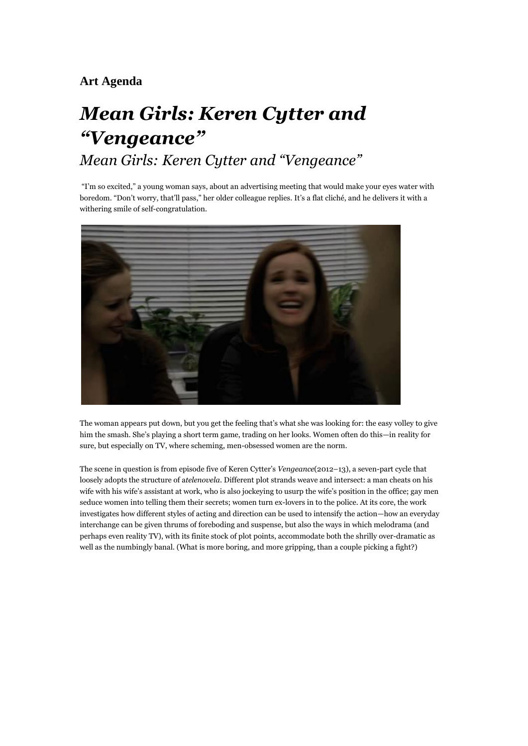## **Art Agenda**

## *Mean Girls: Keren Cytter and "Vengeance" Mean Girls: Keren Cytter and "Vengeance"*

"I'm so excited," a young woman says, about an advertising meeting that would make your eyes water with boredom. "Don't worry, that'll pass," her older colleague replies. It's a flat cliché, and he delivers it with a withering smile of self-congratulation.



The woman appears put down, but you get the feeling that's what she was looking for: the easy volley to give him the smash. She's playing a short term game, trading on her looks. Women often do this—in reality for sure, but especially on TV, where scheming, men-obsessed women are the norm.

The scene in question is from episode five of Keren Cytter's *Vengeance*(2012–13), a seven-part cycle that loosely adopts the structure of a*telenovela*. Different plot strands weave and intersect: a man cheats on his wife with his wife's assistant at work, who is also jockeying to usurp the wife's position in the office; gay men seduce women into telling them their secrets; women turn ex-lovers in to the police. At its core, the work investigates how different styles of acting and direction can be used to intensify the action—how an everyday interchange can be given thrums of foreboding and suspense, but also the ways in which melodrama (and perhaps even reality TV), with its finite stock of plot points, accommodate both the shrilly over-dramatic as well as the numbingly banal. (What is more boring, and more gripping, than a couple picking a fight?)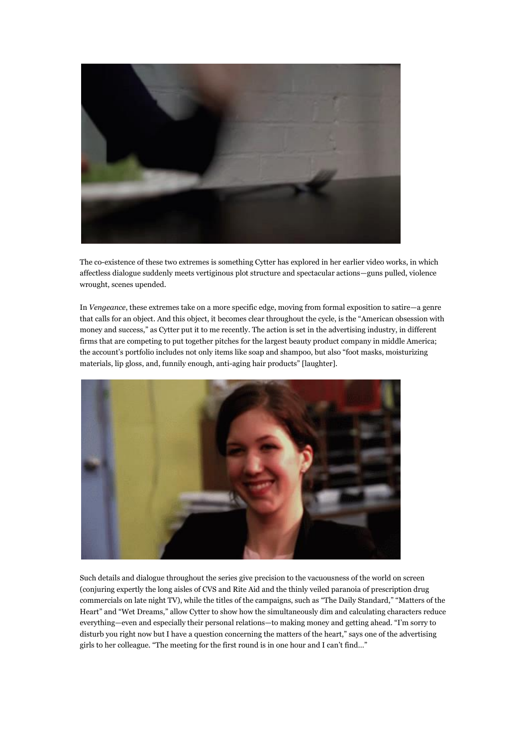

The co-existence of these two extremes is something Cytter has explored in her earlier video works, in which affectless dialogue suddenly meets vertiginous plot structure and spectacular actions—guns pulled, violence wrought, scenes upended.

In *Vengeance*, these extremes take on a more specific edge, moving from formal exposition to satire—a genre that calls for an object. And this object, it becomes clear throughout the cycle, is the "American obsession with money and success," as Cytter put it to me recently. The action is set in the advertising industry, in different firms that are competing to put together pitches for the largest beauty product company in middle America; the account's portfolio includes not only items like soap and shampoo, but also "foot masks, moisturizing materials, lip gloss, and, funnily enough, anti-aging hair products" [laughter].



Such details and dialogue throughout the series give precision to the vacuousness of the world on screen (conjuring expertly the long aisles of CVS and Rite Aid and the thinly veiled paranoia of prescription drug commercials on late night TV), while the titles of the campaigns, such as "The Daily Standard," "Matters of the Heart" and "Wet Dreams," allow Cytter to show how the simultaneously dim and calculating characters reduce everything—even and especially their personal relations—to making money and getting ahead. "I'm sorry to disturb you right now but I have a question concerning the matters of the heart," says one of the advertising girls to her colleague. "The meeting for the first round is in one hour and I can't find…"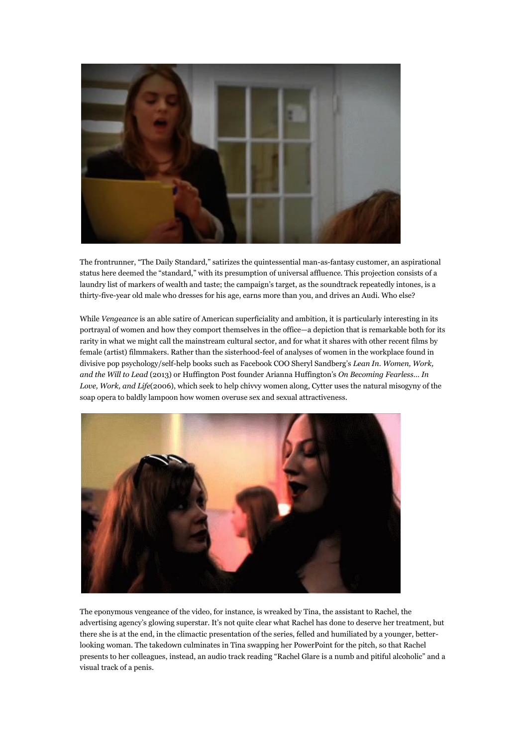

The frontrunner, "The Daily Standard," satirizes the quintessential man-as-fantasy customer, an aspirational status here deemed the "standard," with its presumption of universal affluence. This projection consists of a laundry list of markers of wealth and taste; the campaign's target, as the soundtrack repeatedly intones, is a thirty-five-year old male who dresses for his age, earns more than you, and drives an Audi. Who else?

While *Vengeance* is an able satire of American superficiality and ambition, it is particularly interesting in its portrayal of women and how they comport themselves in the office—a depiction that is remarkable both for its rarity in what we might call the mainstream cultural sector, and for what it shares with other recent films by female (artist) filmmakers. Rather than the sisterhood-feel of analyses of women in the workplace found in divisive pop psychology/self-help books such as Facebook COO Sheryl Sandberg's *Lean In. Women, Work, and the Will to Lead* (2013) or Huffington Post founder Arianna Huffington's *On Becoming Fearless… In Love, Work, and Life*(2006), which seek to help chivvy women along, Cytter uses the natural misogyny of the soap opera to baldly lampoon how women overuse sex and sexual attractiveness.



The eponymous vengeance of the video, for instance, is wreaked by Tina, the assistant to Rachel, the advertising agency's glowing superstar. It's not quite clear what Rachel has done to deserve her treatment, but there she is at the end, in the climactic presentation of the series, felled and humiliated by a younger, betterlooking woman. The takedown culminates in Tina swapping her PowerPoint for the pitch, so that Rachel presents to her colleagues, instead, an audio track reading "Rachel Glare is a numb and pitiful alcoholic" and a visual track of a penis.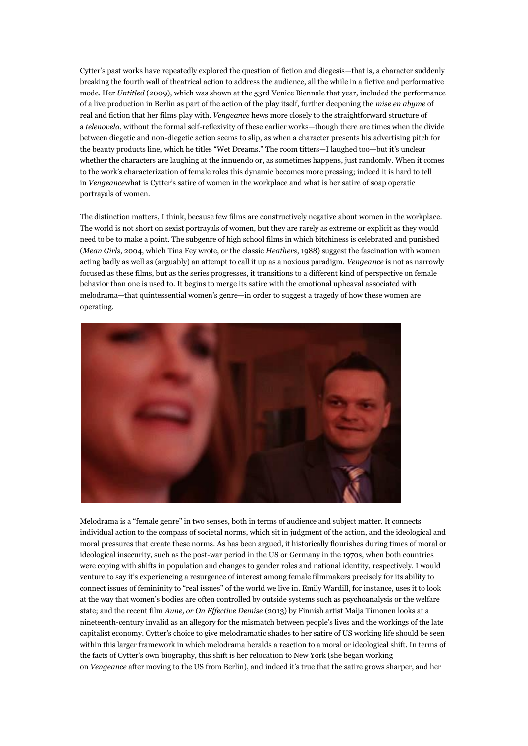Cytter's past works have repeatedly explored the question of fiction and diegesis—that is, a character suddenly breaking the fourth wall of theatrical action to address the audience, all the while in a fictive and performative mode. Her *Untitled* (2009), which was shown at the 53rd Venice Biennale that year, included the performance of a live production in Berlin as part of the action of the play itself, further deepening the *mise en abyme* of real and fiction that her films play with. *Vengeance* hews more closely to the straightforward structure of a *telenovela*, without the formal self-reflexivity of these earlier works—though there are times when the divide between diegetic and non-diegetic action seems to slip, as when a character presents his advertising pitch for the beauty products line, which he titles "Wet Dreams." The room titters—I laughed too—but it's unclear whether the characters are laughing at the innuendo or, as sometimes happens, just randomly. When it comes to the work's characterization of female roles this dynamic becomes more pressing; indeed it is hard to tell in *Vengeance*what is Cytter's satire of women in the workplace and what is her satire of soap operatic portrayals of women.

The distinction matters, I think, because few films are constructively negative about women in the workplace. The world is not short on sexist portrayals of women, but they are rarely as extreme or explicit as they would need to be to make a point. The subgenre of high school films in which bitchiness is celebrated and punished (*Mean Girls*, 2004, which Tina Fey wrote, or the classic *Heathers*, 1988) suggest the fascination with women acting badly as well as (arguably) an attempt to call it up as a noxious paradigm. *Vengeance* is not as narrowly focused as these films, but as the series progresses, it transitions to a different kind of perspective on female behavior than one is used to. It begins to merge its satire with the emotional upheaval associated with melodrama—that quintessential women's genre—in order to suggest a tragedy of how these women are operating.



Melodrama is a "female genre" in two senses, both in terms of audience and subject matter. It connects individual action to the compass of societal norms, which sit in judgment of the action, and the ideological and moral pressures that create these norms. As has been argued, it historically flourishes during times of moral or ideological insecurity, such as the post-war period in the US or Germany in the 1970s, when both countries were coping with shifts in population and changes to gender roles and national identity, respectively. I would venture to say it's experiencing a resurgence of interest among female filmmakers precisely for its ability to connect issues of femininity to "real issues" of the world we live in. Emily Wardill, for instance, uses it to look at the way that women's bodies are often controlled by outside systems such as psychoanalysis or the welfare state; and the recent film *Aune, or On Effective Demise* (2013) by Finnish artist Maija Timonen looks at a nineteenth-century invalid as an allegory for the mismatch between people's lives and the workings of the late capitalist economy. Cytter's choice to give melodramatic shades to her satire of US working life should be seen within this larger framework in which melodrama heralds a reaction to a moral or ideological shift. In terms of the facts of Cytter's own biography, this shift is her relocation to New York (she began working on *Vengeance* after moving to the US from Berlin), and indeed it's true that the satire grows sharper, and her